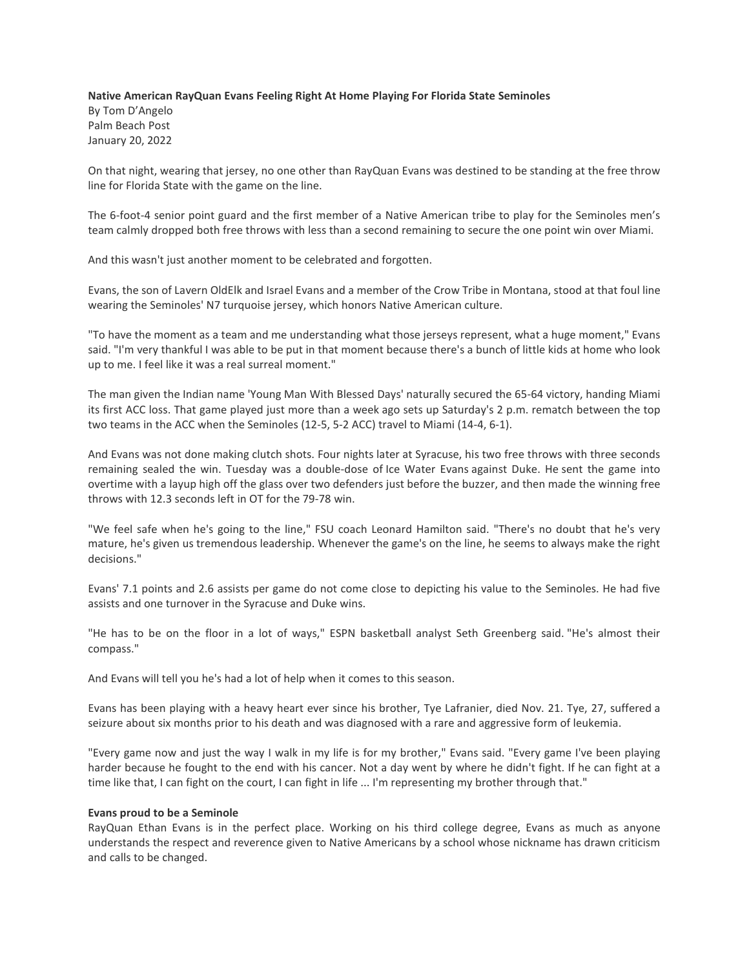## **Native American RayQuan Evans Feeling Right At Home Playing For Florida State Seminoles**

By Tom D'Angelo Palm Beach Post January 20, 2022

On that night, wearing that jersey, no one other than [RayQuan Evans](https://www.palmbeachpost.com/story/sports/college/fsu/mensbasketball/2022/01/12/florida-state-fsu-basketball-seminoles-miami-rivalry-win-streak-rayquan-evans-leonard-hamilton/9155994002/) was destined to be standing at the free throw line for Florida State with the game on the line.

The 6-foot-4 senior point guard and the first member of a Native American tribe to play for the Seminoles men's team calmly dropped both free throws with less than a second remaining to secure the one point win over Miami.

And this wasn't just another moment to be celebrated and forgotten.

Evans, the son of Lavern OldElk and Israel Evans and a member of the Crow Tribe in Montana, stood at that foul line wearing the Seminoles' N7 turquoise jersey, which honors Native American culture.

"To have the moment as a team and me understanding what those jerseys represent, what a huge moment," Evans said. "I'm very thankful I was able to be put in that moment because there's a bunch of little kids at home who look up to me. I feel like it was a real surreal moment."

The man given the Indian name 'Young Man With Blessed Days' naturally secured the 65-64 victory, handing Miami its first ACC loss. That game played just more than a week ago sets up Saturday's 2 p.m. rematch between the top two teams in the ACC when the Seminoles (12-5, 5-2 ACC) travel to Miami (14-4, 6-1).

And Evans was not done making clutch shots. Four nights later at Syracuse, his two free throws with three seconds remaining sealed the win. Tuesday was a double-dose of Ice Water Evans against Duke. He sent the game into overtime with a layup high off the glass over two defenders just before the buzzer, and then made the winning free throws with 12.3 seconds left in OT for the 79-78 win.

"We feel safe when he's going to the line," FSU coach Leonard Hamilton said. "There's no doubt that he's very mature, he's given us tremendous leadership. Whenever the game's on the line, he seems to always make the right decisions."

Evans' 7.1 points and 2.6 assists per game do not come close to depicting his value to the Seminoles. He had five assists and one turnover in the Syracuse and Duke wins.

"He has to be on the floor in a lot of ways," ESPN basketball analyst Seth Greenberg said. "He's almost their compass."

And Evans will tell you he's had a lot of help when it comes to this season.

Evans has been playing with a heavy heart ever since his brother, Tye Lafranier, died Nov. 21. Tye, 27, suffered a seizure about six months prior to his death and was diagnosed with a rare and aggressive form of leukemia.

"Every game now and just the way I walk in my life is for my brother," Evans said. "Every game I've been playing harder because he fought to the end with his cancer. Not a day went by where he didn't fight. If he can fight at a time like that, I can fight on the court, I can fight in life ... I'm representing my brother through that."

## **Evans proud to be a Seminole**

RayQuan Ethan Evans is in the perfect place. Working on his third college degree, Evans as much as anyone understands the respect and reverence given to Native Americans by a school whose nickname has drawn criticism and calls to be changed.